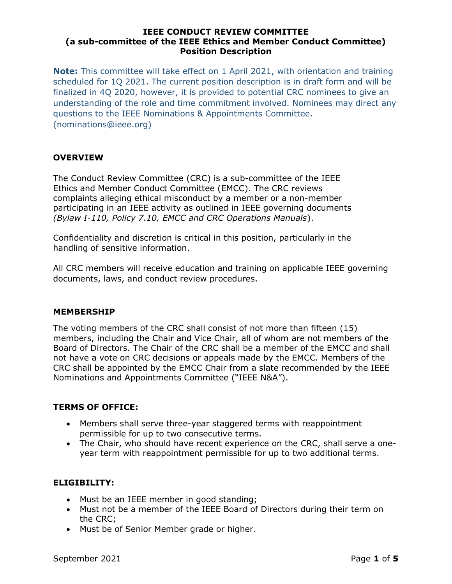Note: This committee will take effect on 1 April 2021, with orientation and training scheduled for 1Q 2021. The current position description is in draft form and will be finalized in 4Q 2020, however, it is provided to potential CRC nominees to give an understanding of the role and time commitment involved. Nominees may direct any questions to the IEEE Nominations & Appointments Committee. (nominations@ieee.org)

# **OVERVIEW**

The Conduct Review Committee (CRC) is a sub-committee of the IEEE Ethics and Member Conduct Committee (EMCC). The CRC reviews complaints alleging ethical misconduct by a member or a non-member participating in an IEEE activity as outlined in IEEE governing documents (Bylaw I-110, Policy 7.10, EMCC and CRC Operations Manuals).

Confidentiality and discretion is critical in this position, particularly in the handling of sensitive information.

All CRC members will receive education and training on applicable IEEE governing documents, laws, and conduct review procedures.

# MEMBERSHIP

The voting members of the CRC shall consist of not more than fifteen (15) members, including the Chair and Vice Chair, all of whom are not members of the Board of Directors. The Chair of the CRC shall be a member of the EMCC and shall not have a vote on CRC decisions or appeals made by the EMCC. Members of the CRC shall be appointed by the EMCC Chair from a slate recommended by the IEEE Nominations and Appointments Committee ("IEEE N&A").

# TERMS OF OFFICE:

- Members shall serve three-year staggered terms with reappointment permissible for up to two consecutive terms.
- The Chair, who should have recent experience on the CRC, shall serve a oneyear term with reappointment permissible for up to two additional terms.

# ELIGIBILITY:

- Must be an IEEE member in good standing;
- Must not be a member of the IEEE Board of Directors during their term on the CRC;
- Must be of Senior Member grade or higher.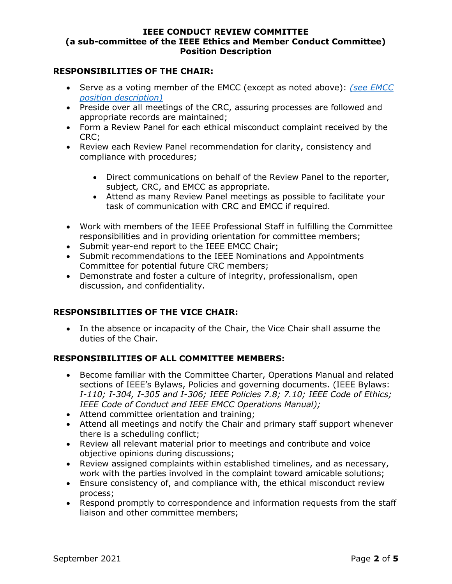# RESPONSIBILITIES OF THE CHAIR:

- Serve as a voting member of the EMCC (except as noted above): (see EMCC position description)
- Preside over all meetings of the CRC, assuring processes are followed and appropriate records are maintained;
- Form a Review Panel for each ethical misconduct complaint received by the CRC;
- Review each Review Panel recommendation for clarity, consistency and compliance with procedures;
	- Direct communications on behalf of the Review Panel to the reporter, subject, CRC, and EMCC as appropriate.
	- Attend as many Review Panel meetings as possible to facilitate your task of communication with CRC and EMCC if required.
- Work with members of the IEEE Professional Staff in fulfilling the Committee responsibilities and in providing orientation for committee members;
- Submit year-end report to the IEEE EMCC Chair;
- Submit recommendations to the IEEE Nominations and Appointments Committee for potential future CRC members;
- Demonstrate and foster a culture of integrity, professionalism, open discussion, and confidentiality.

# RESPONSIBILITIES OF THE VICE CHAIR:

 In the absence or incapacity of the Chair, the Vice Chair shall assume the duties of the Chair.

# RESPONSIBILITIES OF ALL COMMITTEE MEMBERS:

- Become familiar with the Committee Charter, Operations Manual and related sections of IEEE's Bylaws, Policies and governing documents. (IEEE Bylaws: I-110; I-304, I-305 and I-306; IEEE Policies 7.8; 7.10; IEEE Code of Ethics; IEEE Code of Conduct and IEEE EMCC Operations Manual);
- Attend committee orientation and training;
- Attend all meetings and notify the Chair and primary staff support whenever there is a scheduling conflict;
- Review all relevant material prior to meetings and contribute and voice objective opinions during discussions;
- Review assigned complaints within established timelines, and as necessary, work with the parties involved in the complaint toward amicable solutions;
- Ensure consistency of, and compliance with, the ethical misconduct review process;
- Respond promptly to correspondence and information requests from the staff liaison and other committee members;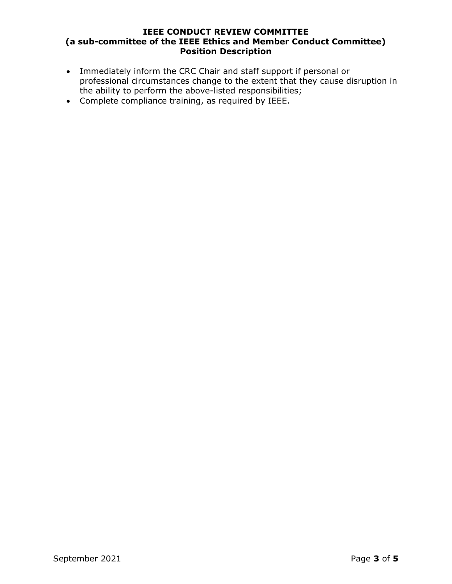- Immediately inform the CRC Chair and staff support if personal or professional circumstances change to the extent that they cause disruption in the ability to perform the above-listed responsibilities;
- Complete compliance training, as required by IEEE.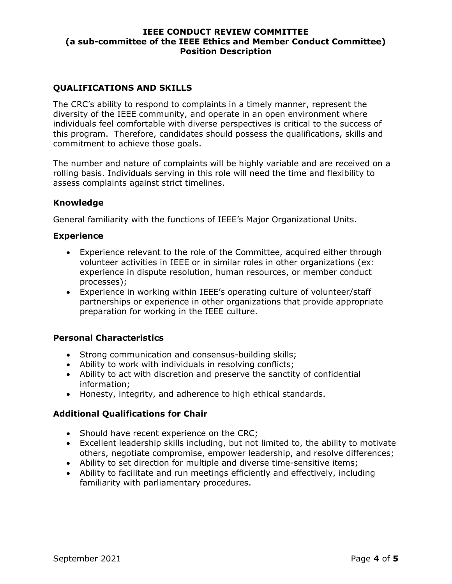# QUALIFICATIONS AND SKILLS

The CRC's ability to respond to complaints in a timely manner, represent the diversity of the IEEE community, and operate in an open environment where individuals feel comfortable with diverse perspectives is critical to the success of this program. Therefore, candidates should possess the qualifications, skills and commitment to achieve those goals.

The number and nature of complaints will be highly variable and are received on a rolling basis. Individuals serving in this role will need the time and flexibility to assess complaints against strict timelines.

# Knowledge

General familiarity with the functions of IEEE's Major Organizational Units.

#### **Experience**

- Experience relevant to the role of the Committee, acquired either through volunteer activities in IEEE or in similar roles in other organizations (ex: experience in dispute resolution, human resources, or member conduct processes);
- Experience in working within IEEE's operating culture of volunteer/staff partnerships or experience in other organizations that provide appropriate preparation for working in the IEEE culture.

# Personal Characteristics

- Strong communication and consensus-building skills;
- Ability to work with individuals in resolving conflicts;
- Ability to act with discretion and preserve the sanctity of confidential information;
- Honesty, integrity, and adherence to high ethical standards.

# Additional Qualifications for Chair

- Should have recent experience on the CRC;
- Excellent leadership skills including, but not limited to, the ability to motivate others, negotiate compromise, empower leadership, and resolve differences;
- Ability to set direction for multiple and diverse time-sensitive items;
- Ability to facilitate and run meetings efficiently and effectively, including familiarity with parliamentary procedures.